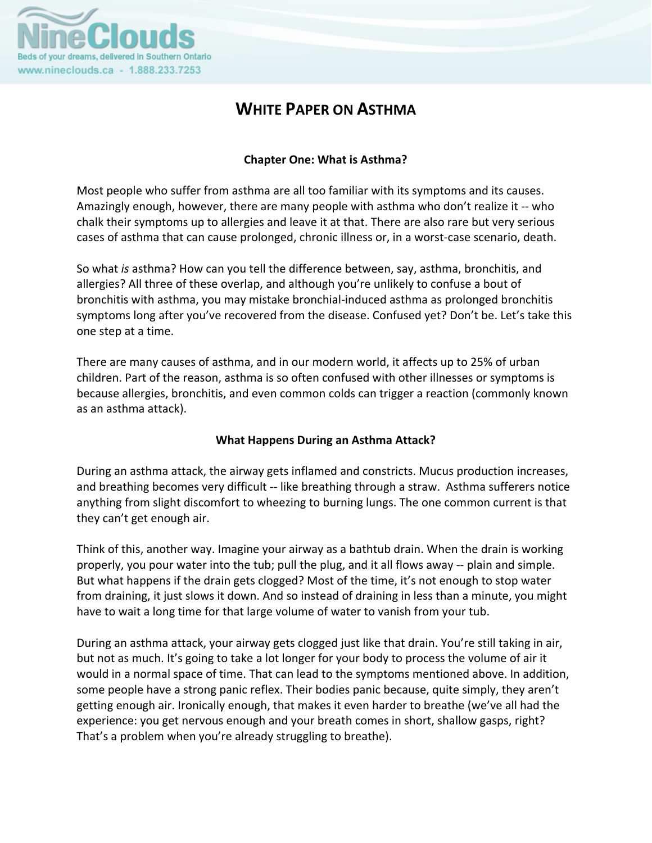

# **WHITE PAPER ON ASTHMA**

## **Chapter One: What is Asthma?**

Most people who suffer from asthma are all too familiar with its symptoms and its causes. Amazingly enough, however, there are many people with asthma who don't realize it ‐‐ who chalk their symptoms up to allergies and leave it at that. There are also rare but very serious cases of asthma that can cause prolonged, chronic illness or, in a worst‐case scenario, death.

So what *is* asthma? How can you tell the difference between, say, asthma, bronchitis, and allergies? All three of these overlap, and although you're unlikely to confuse a bout of bronchitis with asthma, you may mistake bronchial‐induced asthma as prolonged bronchitis symptoms long after you've recovered from the disease. Confused yet? Don't be. Let's take this one step at a time.

There are many causes of asthma, and in our modern world, it affects up to 25% of urban children. Part of the reason, asthma is so often confused with other illnesses or symptoms is because allergies, bronchitis, and even common colds can trigger a reaction (commonly known as an asthma attack).

# **What Happens During an Asthma Attack?**

During an asthma attack, the airway gets inflamed and constricts. Mucus production increases, and breathing becomes very difficult -- like breathing through a straw. Asthma sufferers notice anything from slight discomfort to wheezing to burning lungs. The one common current is that they can't get enough air.

Think of this, another way. Imagine your airway as a bathtub drain. When the drain is working properly, you pour water into the tub; pull the plug, and it all flows away ‐‐ plain and simple. But what happens if the drain gets clogged? Most of the time, it's not enough to stop water from draining, it just slows it down. And so instead of draining in less than a minute, you might have to wait a long time for that large volume of water to vanish from your tub.

During an asthma attack, your airway gets clogged just like that drain. You're still taking in air, but not as much. It's going to take a lot longer for your body to process the volume of air it would in a normal space of time. That can lead to the symptoms mentioned above. In addition, some people have a strong panic reflex. Their bodies panic because, quite simply, they aren't getting enough air. Ironically enough, that makes it even harder to breathe (we've all had the experience: you get nervous enough and your breath comes in short, shallow gasps, right? That's a problem when you're already struggling to breathe).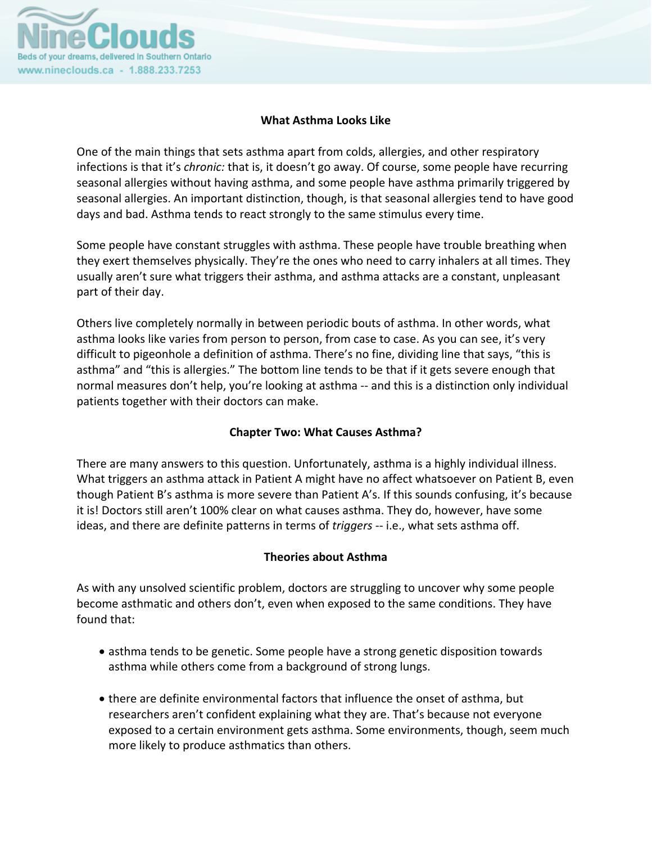

## **What Asthma Looks Like**

One of the main things that sets asthma apart from colds, allergies, and other respiratory infections is that it's *chronic:* that is, it doesn't go away. Of course, some people have recurring seasonal allergies without having asthma, and some people have asthma primarily triggered by seasonal allergies. An important distinction, though, is that seasonal allergies tend to have good days and bad. Asthma tends to react strongly to the same stimulus every time.

Some people have constant struggles with asthma. These people have trouble breathing when they exert themselves physically. They're the ones who need to carry inhalers at all times. They usually aren't sure what triggers their asthma, and asthma attacks are a constant, unpleasant part of their day.

Others live completely normally in between periodic bouts of asthma. In other words, what asthma looks like varies from person to person, from case to case. As you can see, it's very difficult to pigeonhole a definition of asthma. There's no fine, dividing line that says, "this is asthma" and "this is allergies." The bottom line tends to be that if it gets severe enough that normal measures don't help, you're looking at asthma -- and this is a distinction only individual patients together with their doctors can make.

# **Chapter Two: What Causes Asthma?**

There are many answers to this question. Unfortunately, asthma is a highly individual illness. What triggers an asthma attack in Patient A might have no affect whatsoever on Patient B, even though Patient B's asthma is more severe than Patient A's. If this sounds confusing, it's because it is! Doctors still aren't 100% clear on what causes asthma. They do, however, have some ideas, and there are definite patterns in terms of *triggers* ‐‐ i.e., what sets asthma off.

#### **Theories about Asthma**

As with any unsolved scientific problem, doctors are struggling to uncover why some people become asthmatic and others don't, even when exposed to the same conditions. They have found that:

- asthma tends to be genetic. Some people have a strong genetic disposition towards asthma while others come from a background of strong lungs.
- there are definite environmental factors that influence the onset of asthma, but researchers aren't confident explaining what they are. That's because not everyone exposed to a certain environment gets asthma. Some environments, though, seem much more likely to produce asthmatics than others.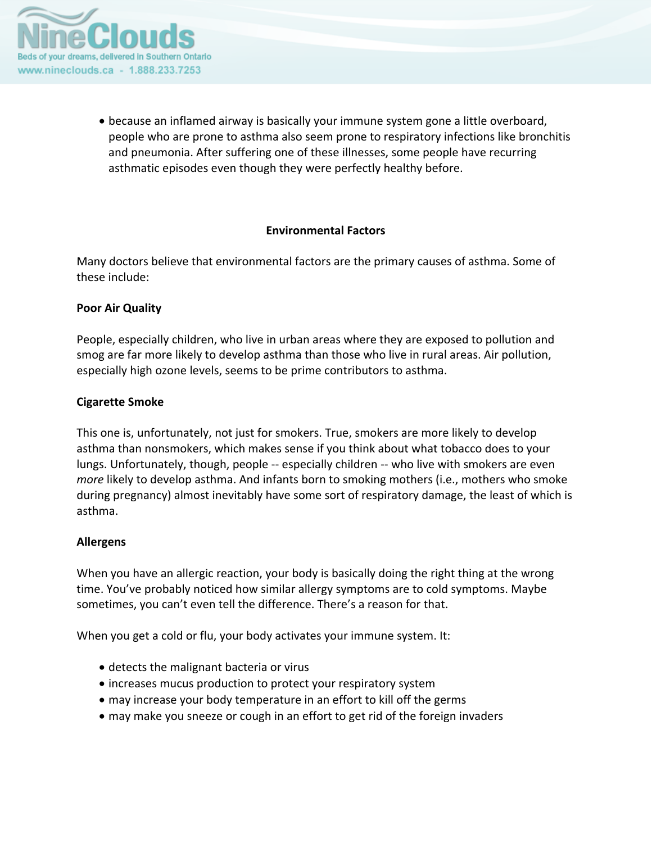

• because an inflamed airway is basically your immune system gone a little overboard, people who are prone to asthma also seem prone to respiratory infections like bronchitis and pneumonia. After suffering one of these illnesses, some people have recurring asthmatic episodes even though they were perfectly healthy before.

#### **Environmental Factors**

Many doctors believe that environmental factors are the primary causes of asthma. Some of these include:

#### **Poor Air Quality**

People, especially children, who live in urban areas where they are exposed to pollution and smog are far more likely to develop asthma than those who live in rural areas. Air pollution, especially high ozone levels, seems to be prime contributors to asthma.

#### **Cigarette Smoke**

This one is, unfortunately, not just for smokers. True, smokers are more likely to develop asthma than nonsmokers, which makes sense if you think about what tobacco does to your lungs. Unfortunately, though, people ‐‐ especially children ‐‐ who live with smokers are even *more* likely to develop asthma. And infants born to smoking mothers (i.e., mothers who smoke during pregnancy) almost inevitably have some sort of respiratory damage, the least of which is asthma.

#### **Allergens**

When you have an allergic reaction, your body is basically doing the right thing at the wrong time. You've probably noticed how similar allergy symptoms are to cold symptoms. Maybe sometimes, you can't even tell the difference. There's a reason for that.

When you get a cold or flu, your body activates your immune system. It:

- detects the malignant bacteria or virus
- increases mucus production to protect your respiratory system
- may increase your body temperature in an effort to kill off the germs
- may make you sneeze or cough in an effort to get rid of the foreign invaders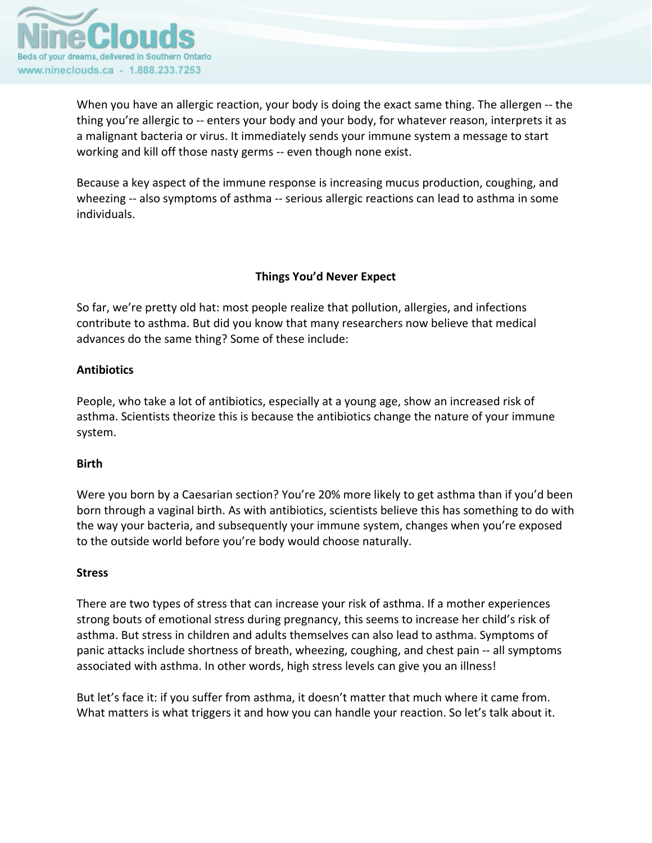

When you have an allergic reaction, your body is doing the exact same thing. The allergen -- the thing you're allergic to ‐‐ enters your body and your body, for whatever reason, interprets it as a malignant bacteria or virus. It immediately sends your immune system a message to start working and kill off those nasty germs ‐‐ even though none exist.

Because a key aspect of the immune response is increasing mucus production, coughing, and wheezing -- also symptoms of asthma -- serious allergic reactions can lead to asthma in some individuals.

## **Things You'd Never Expect**

So far, we're pretty old hat: most people realize that pollution, allergies, and infections contribute to asthma. But did you know that many researchers now believe that medical advances do the same thing? Some of these include:

#### **Antibiotics**

People, who take a lot of antibiotics, especially at a young age, show an increased risk of asthma. Scientists theorize this is because the antibiotics change the nature of your immune system.

#### **Birth**

Were you born by a Caesarian section? You're 20% more likely to get asthma than if you'd been born through a vaginal birth. As with antibiotics, scientists believe this has something to do with the way your bacteria, and subsequently your immune system, changes when you're exposed to the outside world before you're body would choose naturally.

#### **Stress**

There are two types of stress that can increase your risk of asthma. If a mother experiences strong bouts of emotional stress during pregnancy, this seems to increase her child's risk of asthma. But stress in children and adults themselves can also lead to asthma. Symptoms of panic attacks include shortness of breath, wheezing, coughing, and chest pain ‐‐ all symptoms associated with asthma. In other words, high stress levels can give you an illness!

But let's face it: if you suffer from asthma, it doesn't matter that much where it came from. What matters is what triggers it and how you can handle your reaction. So let's talk about it.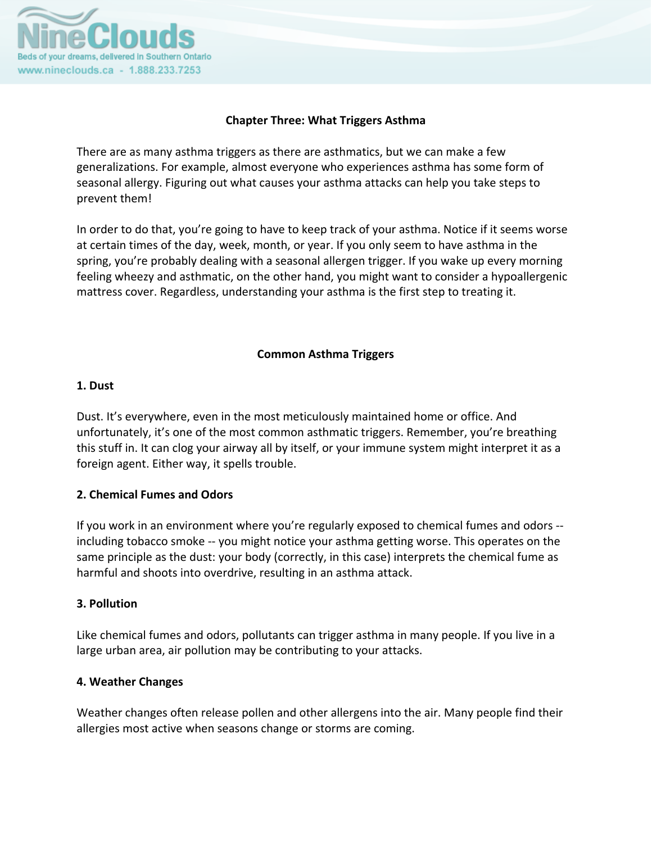

## **Chapter Three: What Triggers Asthma**

There are as many asthma triggers as there are asthmatics, but we can make a few generalizations. For example, almost everyone who experiences asthma has some form of seasonal allergy. Figuring out what causes your asthma attacks can help you take steps to prevent them!

In order to do that, you're going to have to keep track of your asthma. Notice if it seems worse at certain times of the day, week, month, or year. If you only seem to have asthma in the spring, you're probably dealing with a seasonal allergen trigger. If you wake up every morning feeling wheezy and asthmatic, on the other hand, you might want to consider a hypoallergenic mattress cover. Regardless, understanding your asthma is the first step to treating it.

## **Common Asthma Triggers**

#### **1. Dust**

Dust. It's everywhere, even in the most meticulously maintained home or office. And unfortunately, it's one of the most common asthmatic triggers. Remember, you're breathing this stuff in. It can clog your airway all by itself, or your immune system might interpret it as a foreign agent. Either way, it spells trouble.

#### **2. Chemical Fumes and Odors**

If you work in an environment where you're regularly exposed to chemical fumes and odors ‐‐ including tobacco smoke ‐‐ you might notice your asthma getting worse. This operates on the same principle as the dust: your body (correctly, in this case) interprets the chemical fume as harmful and shoots into overdrive, resulting in an asthma attack.

#### **3. Pollution**

Like chemical fumes and odors, pollutants can trigger asthma in many people. If you live in a large urban area, air pollution may be contributing to your attacks.

#### **4. Weather Changes**

Weather changes often release pollen and other allergens into the air. Many people find their allergies most active when seasons change or storms are coming.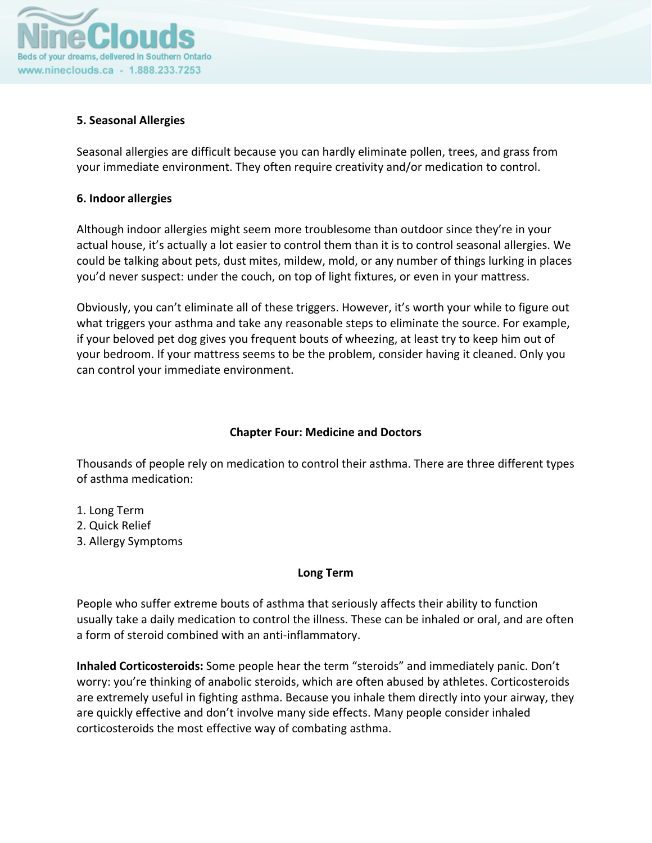

## **5. Seasonal Allergies**

Seasonal allergies are difficult because you can hardly eliminate pollen, trees, and grass from your immediate environment. They often require creativity and/or medication to control.

#### **6. Indoor allergies**

Although indoor allergies might seem more troublesome than outdoor since they're in your actual house, it's actually a lot easier to control them than it is to control seasonal allergies. We could be talking about pets, dust mites, mildew, mold, or any number of things lurking in places you'd never suspect: under the couch, on top of light fixtures, or even in your mattress.

Obviously, you can't eliminate all of these triggers. However, it's worth your while to figure out what triggers your asthma and take any reasonable steps to eliminate the source. For example, if your beloved pet dog gives you frequent bouts of wheezing, at least try to keep him out of your bedroom. If your mattress seems to be the problem, consider having it cleaned. Only you can control your immediate environment.

# **Chapter Four: Medicine and Doctors**

Thousands of people rely on medication to control their asthma. There are three different types of asthma medication:

- 1. Long Term
- 2. Quick Relief
- 3. Allergy Symptoms

#### **Long Term**

People who suffer extreme bouts of asthma that seriously affects their ability to function usually take a daily medication to control the illness. These can be inhaled or oral, and are often a form of steroid combined with an anti‐inflammatory.

**Inhaled Corticosteroids:** Some people hear the term "steroids" and immediately panic. Don't worry: you're thinking of anabolic steroids, which are often abused by athletes. Corticosteroids are extremely useful in fighting asthma. Because you inhale them directly into your airway, they are quickly effective and don't involve many side effects. Many people consider inhaled corticosteroids the most effective way of combating asthma.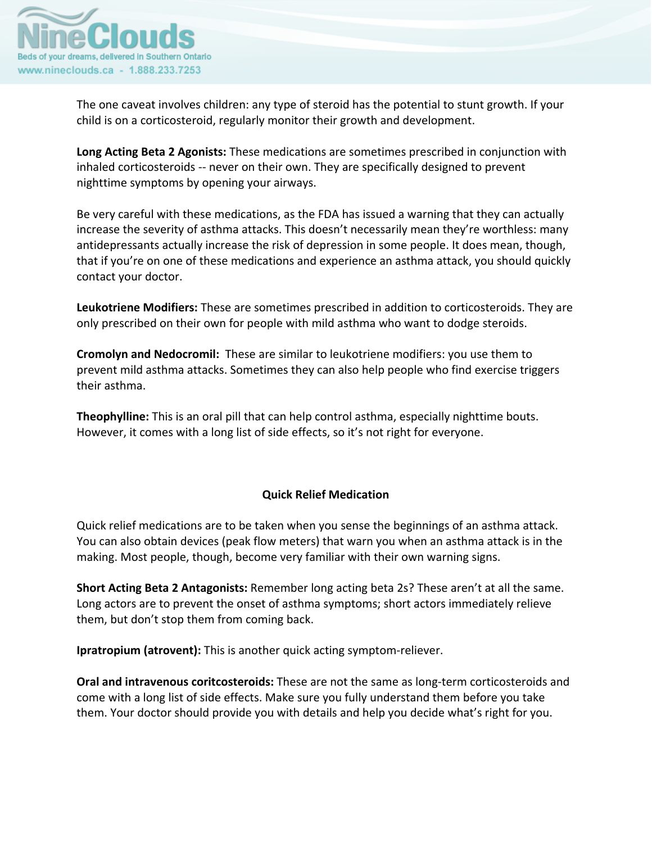

The one caveat involves children: any type of steroid has the potential to stunt growth. If your child is on a corticosteroid, regularly monitor their growth and development.

**Long Acting Beta 2 Agonists:** These medications are sometimes prescribed in conjunction with inhaled corticosteroids -- never on their own. They are specifically designed to prevent nighttime symptoms by opening your airways.

Be very careful with these medications, as the FDA has issued a warning that they can actually increase the severity of asthma attacks. This doesn't necessarily mean they're worthless: many antidepressants actually increase the risk of depression in some people. It does mean, though, that if you're on one of these medications and experience an asthma attack, you should quickly contact your doctor.

**Leukotriene Modifiers:** These are sometimes prescribed in addition to corticosteroids. They are only prescribed on their own for people with mild asthma who want to dodge steroids.

**Cromolyn and Nedocromil:** These are similar to leukotriene modifiers: you use them to prevent mild asthma attacks. Sometimes they can also help people who find exercise triggers their asthma.

**Theophylline:** This is an oral pill that can help control asthma, especially nighttime bouts. However, it comes with a long list of side effects, so it's not right for everyone.

# **Quick Relief Medication**

Quick relief medications are to be taken when you sense the beginnings of an asthma attack. You can also obtain devices (peak flow meters) that warn you when an asthma attack is in the making. Most people, though, become very familiar with their own warning signs.

**Short Acting Beta 2 Antagonists:** Remember long acting beta 2s? These aren't at all the same. Long actors are to prevent the onset of asthma symptoms; short actors immediately relieve them, but don't stop them from coming back.

**Ipratropium (atrovent):** This is another quick acting symptom‐reliever.

**Oral and intravenous coritcosteroids:** These are not the same as long‐term corticosteroids and come with a long list of side effects. Make sure you fully understand them before you take them. Your doctor should provide you with details and help you decide what's right for you.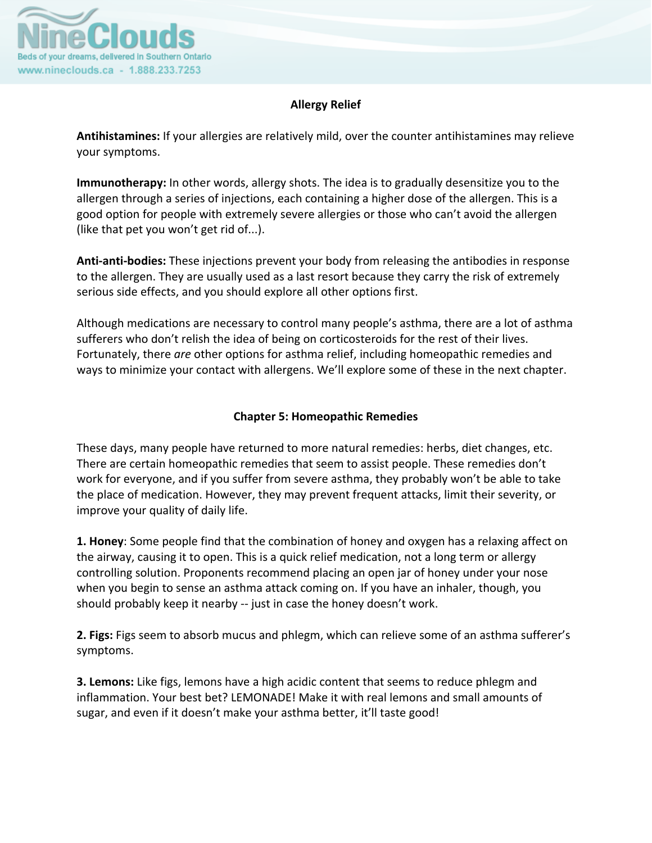

# **Allergy Relief**

**Antihistamines:** If your allergies are relatively mild, over the counter antihistamines may relieve your symptoms.

**Immunotherapy:** In other words, allergy shots. The idea is to gradually desensitize you to the allergen through a series of injections, each containing a higher dose of the allergen. This is a good option for people with extremely severe allergies or those who can't avoid the allergen (like that pet you won't get rid of...).

**Anti‐anti‐bodies:** These injections prevent your body from releasing the antibodies in response to the allergen. They are usually used as a last resort because they carry the risk of extremely serious side effects, and you should explore all other options first.

Although medications are necessary to control many people's asthma, there are a lot of asthma sufferers who don't relish the idea of being on corticosteroids for the rest of their lives. Fortunately, there *are* other options for asthma relief, including homeopathic remedies and ways to minimize your contact with allergens. We'll explore some of these in the next chapter.

# **Chapter 5: Homeopathic Remedies**

These days, many people have returned to more natural remedies: herbs, diet changes, etc. There are certain homeopathic remedies that seem to assist people. These remedies don't work for everyone, and if you suffer from severe asthma, they probably won't be able to take the place of medication. However, they may prevent frequent attacks, limit their severity, or improve your quality of daily life.

**1. Honey**: Some people find that the combination of honey and oxygen has a relaxing affect on the airway, causing it to open. This is a quick relief medication, not a long term or allergy controlling solution. Proponents recommend placing an open jar of honey under your nose when you begin to sense an asthma attack coming on. If you have an inhaler, though, you should probably keep it nearby ‐‐ just in case the honey doesn't work.

**2. Figs:** Figs seem to absorb mucus and phlegm, which can relieve some of an asthma sufferer's symptoms.

**3. Lemons:** Like figs, lemons have a high acidic content that seems to reduce phlegm and inflammation. Your best bet? LEMONADE! Make it with real lemons and small amounts of sugar, and even if it doesn't make your asthma better, it'll taste good!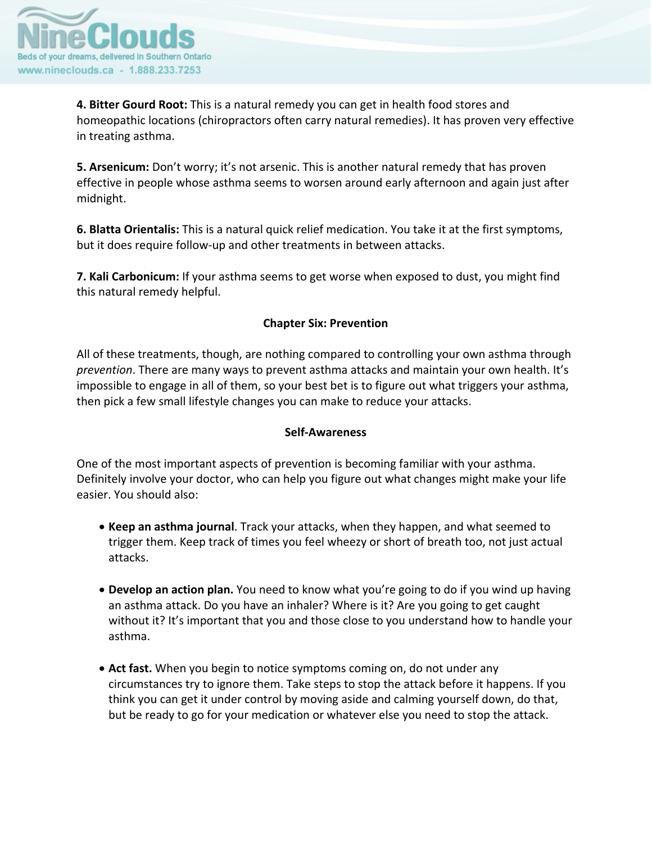

**4. Bitter Gourd Root:** This is a natural remedy you can get in health food stores and homeopathic locations (chiropractors often carry natural remedies). It has proven very effective in treating asthma.

**5. Arsenicum:** Don't worry; it's not arsenic. This is another natural remedy that has proven effective in people whose asthma seems to worsen around early afternoon and again just after midnight.

**6. Blatta Orientalis:** This is a natural quick relief medication. You take it at the first symptoms, but it does require follow-up and other treatments in between attacks.

**7. Kali Carbonicum:** If your asthma seems to get worse when exposed to dust, you might find this natural remedy helpful.

## **Chapter Six: Prevention**

All of these treatments, though, are nothing compared to controlling your own asthma through *prevention*. There are many ways to prevent asthma attacks and maintain your own health. It's impossible to engage in all of them, so your best bet is to figure out what triggers your asthma, then pick a few small lifestyle changes you can make to reduce your attacks.

#### **Self‐Awareness**

One of the most important aspects of prevention is becoming familiar with your asthma. Definitely involve your doctor, who can help you figure out what changes might make your life easier. You should also:

- **Keep an asthma journal**. Track your attacks, when they happen, and what seemed to trigger them. Keep track of times you feel wheezy or short of breath too, not just actual attacks.
- **Develop an action plan.** You need to know what you're going to do if you wind up having an asthma attack. Do you have an inhaler? Where is it? Are you going to get caught without it? It's important that you and those close to you understand how to handle your asthma.
- **Act fast.** When you begin to notice symptoms coming on, do not under any circumstances try to ignore them. Take steps to stop the attack before it happens. If you think you can get it under control by moving aside and calming yourself down, do that, but be ready to go for your medication or whatever else you need to stop the attack.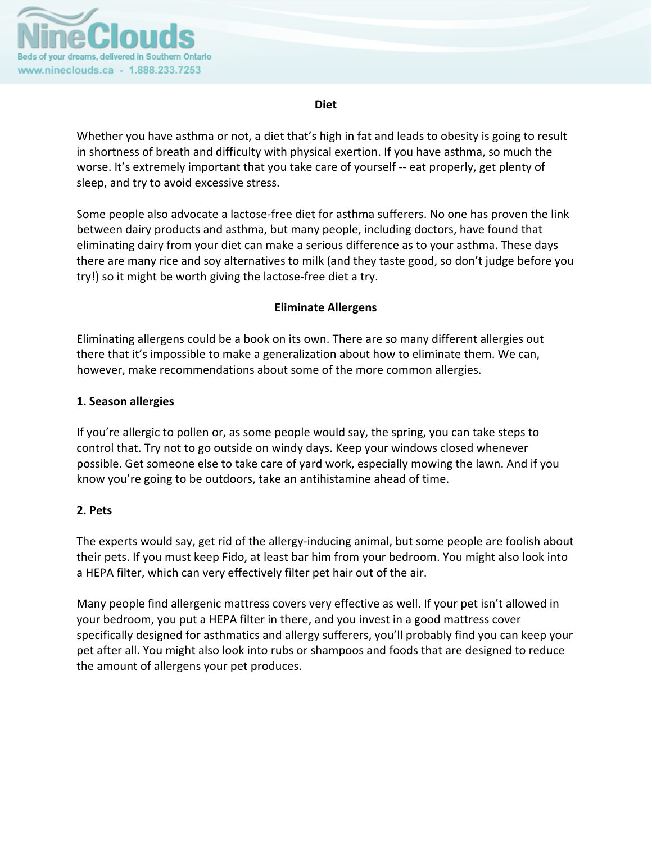

#### **Diet**

Whether you have asthma or not, a diet that's high in fat and leads to obesity is going to result in shortness of breath and difficulty with physical exertion. If you have asthma, so much the worse. It's extremely important that you take care of yourself -- eat properly, get plenty of sleep, and try to avoid excessive stress.

Some people also advocate a lactose‐free diet for asthma sufferers. No one has proven the link between dairy products and asthma, but many people, including doctors, have found that eliminating dairy from your diet can make a serious difference as to your asthma. These days there are many rice and soy alternatives to milk (and they taste good, so don't judge before you try!) so it might be worth giving the lactose‐free diet a try.

# **Eliminate Allergens**

Eliminating allergens could be a book on its own. There are so many different allergies out there that it's impossible to make a generalization about how to eliminate them. We can, however, make recommendations about some of the more common allergies.

#### **1. Season allergies**

If you're allergic to pollen or, as some people would say, the spring, you can take steps to control that. Try not to go outside on windy days. Keep your windows closed whenever possible. Get someone else to take care of yard work, especially mowing the lawn. And if you know you're going to be outdoors, take an antihistamine ahead of time.

#### **2. Pets**

The experts would say, get rid of the allergy-inducing animal, but some people are foolish about their pets. If you must keep Fido, at least bar him from your bedroom. You might also look into a HEPA filter, which can very effectively filter pet hair out of the air.

Many people find allergenic mattress covers very effective as well. If your pet isn't allowed in your bedroom, you put a HEPA filter in there, and you invest in a good mattress cover specifically designed for asthmatics and allergy sufferers, you'll probably find you can keep your pet after all. You might also look into rubs or shampoos and foods that are designed to reduce the amount of allergens your pet produces.